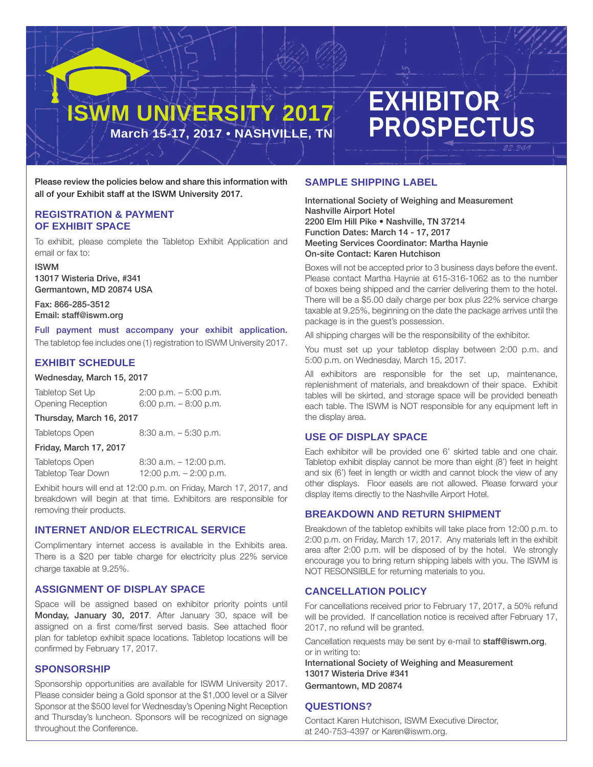# **ISWM UNIVERSITY 2017 March 15-17, 2017 • NASHVILLE, TN**

# **EXHIBITOR PROSPECTUS**

Please review the policies below and share this information with all of your Exhibit staff at the ISWM University 2017.

# **REGISTRATION & PAYMENT OF EXHIBIT SPACE**

To exhibit, please complete the Tabletop Exhibit Application and email or fax to:

ISWM 13017 Wisteria Drive, #341

Germantown, MD 20874 USA

Fax: 866-285-3512 Email: staff@iswm.org

Full payment must accompany your exhibit application. The tabletop fee includes one (1) registration to ISWM University 2017.

# **EXHIBIT SCHEDULE**

#### Wednesday, March 15, 2017

Tabletop Set Up 2:00 p.m. – 5:00 p.m. Opening Reception 6:00 p.m. – 8:00 p.m.

#### Thursday, March 16, 2017

Tabletops Open 8:30 a.m. – 5:30 p.m.

#### Friday, March 17, 2017

| Tabletops Open     | $8:30$ a.m. $-12:00$ p.m. |
|--------------------|---------------------------|
| Tabletop Tear Down | 12:00 p.m. $-$ 2:00 p.m.  |

Exhibit hours will end at 12:00 p.m. on Friday, March 17, 2017, and breakdown will begin at that time. Exhibitors are responsible for removing their products.

# **INTERNET AND/OR ELECTRICAL SERVICE**

Complimentary internet access is available in the Exhibits area. There is a \$20 per table charge for electricity plus 22% service charge taxable at 9.25%.

# **ASSIGNMENT OF DISPLAY SPACE**

Space will be assigned based on exhibitor priority points until Monday, January 30, 2017. After January 30, space will be assigned on a first come/first served basis. See attached floor plan for tabletop exhibit space locations. Tabletop locations will be confirmed by February 17, 2017.

# **SPONSORSHIP**

Sponsorship opportunities are available for ISWM University 2017. Please consider being a Gold sponsor at the \$1,000 level or a Silver Sponsor at the \$500 level for Wednesday's Opening Night Reception and Thursday's luncheon. Sponsors will be recognized on signage throughout the Conference.

# **SAMPLE SHIPPING LABEL**

International Society of Weighing and Measurement Nashville Airport Hotel 2200 Elm Hill Pike • Nashville, TN 37214 Function Dates: March 14 - 17, 2017 Meeting Services Coordinator: Martha Haynie On-site Contact: Karen Hutchison

Boxes will not be accepted prior to 3 business days before the event. Please contact Martha Haynie at 615-316-1062 as to the number of boxes being shipped and the carrier delivering them to the hotel. There will be a \$5.00 daily charge per box plus 22% service charge taxable at 9.25%, beginning on the date the package arrives until the package is in the guest's possession.

All shipping charges will be the responsibility of the exhibitor.

You must set up your tabletop display between 2:00 p.m. and 5:00 p.m. on Wednesday, March 15, 2017.

All exhibitors are responsible for the set up, maintenance, replenishment of materials, and breakdown of their space. Exhibit tables will be skirted, and storage space will be provided beneath each table. The ISWM is NOT responsible for any equipment left in the display area.

# **USE OF DISPLAY SPACE**

Each exhibitor will be provided one 6' skirted table and one chair. Tabletop exhibit display cannot be more than eight (8') feet in height and six (6') feet in length or width and cannot block the view of any other displays. Floor easels are not allowed. Please forward your display items directly to the Nashville Airport Hotel.

# **BREAKDOWN AND RETURN SHIPMENT**

Breakdown of the tabletop exhibits will take place from 12:00 p.m. to 2:00 p.m. on Friday, March 17, 2017. Any materials left in the exhibit area after 2:00 p.m. will be disposed of by the hotel. We strongly encourage you to bring return shipping labels with you. The ISWM is NOT RESONSIBLE for returning materials to you.

# **CANCELLATION POLICY**

For cancellations received prior to February 17, 2017, a 50% refund will be provided. If cancellation notice is received after February 17, 2017, no refund will be granted.

Cancellation requests may be sent by e-mail to staff@iswm.org, or in writing to:

International Society of Weighing and Measurement 13017 Wisteria Drive #341 Germantown, MD 20874

# **QUESTIONS?**

Contact Karen Hutchison, ISWM Executive Director, at 240-753-4397 or Karen@iswm.org.